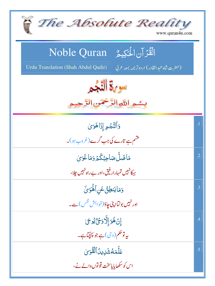| The Absolute Reality<br>www.quran4u.com                                                                                         |               |
|---------------------------------------------------------------------------------------------------------------------------------|---------------|
| الْقُرْآنِ الْحَكِيمُ ِ Noble Quran<br>(حضرت شاه عبد القادر) اردوتر جمه بمعه عربي<br><b>Urdu Translation (Shah Abdul Qadir)</b> |               |
| سورة التجم                                                                                                                      |               |
| بسمو اللوالرَّحْمَنِ الرَّحِيمِ                                                                                                 |               |
| وَٱلتَّجُمِ إِذَاهَوَىٰ<br>فشم ہے تارے کی جب گرے(غروب ہو)۔                                                                      | $\cdot$ 1     |
| مَاضَلَّ صَاحِبُكُمْ دَمَاغَوَيٰ                                                                                                | $\cdot$ .2    |
| بہکانہیں تمہارار فیق،اور بے راہ نہیں جلا،<br>وَمَايَنطِنُ عَنِ ٱلْهَوَىٰٓ                                                       | $\mathbf{.3}$ |
| اور نہیں بولتااپنی چاؤ( <sub>خواہنش</sub> نفس) سے۔                                                                              | .4            |
| ٳڹٙۿؙۊٳۣڸ۠ۜۯۏػۣٛێٛۏػ<br>ىيەتوڭكم(وى) ہے جو پہنچاہے۔                                                                             |               |
| عَلَّمَهُ شَرِينُ ٱلْقُوَىٰ<br>اس کو سکھایایاسخت <b>قونوں د</b> الے نے،                                                         | .5            |
|                                                                                                                                 |               |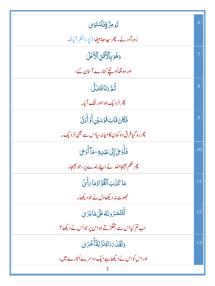| <u>ۮؙۅڡؚڗ۠ۊۣٚڡؘ۬ٲ</u> ۺؾؘ <i>ۏ</i> ؠ                     | .6        |
|----------------------------------------------------------|-----------|
| زورآور نے۔ پھر سیدھابیٹھا (یورا نظر آیا)۔                |           |
| وَهُوَبِٱلۡأُنُّقِ ٱلۡأَعۡلَىٰ                           | $\cdot^7$ |
| اور وہ تھااُونچے کنارے آسان کے،                          |           |
| ثُمَّ دَنَافَتَدَلَّىٰ                                   | .8        |
| پھر نز دیک ہوااور لٹک آیا۔                               |           |
| فَكَانَ قَابَ قَوْسَيْنِ أَوْ أَدْنَىٰ                   | .9        |
| پھر رہ گیافرق دو کمان کامیانہ، پااس سے بھی نز دیک۔       |           |
| فَأَوْجَ]إِلَىٰعَبۡلِهِ ۖ مَاۤ أَوۡجَىٰ                  | .10       |
| پھر حکم بھیجا <sub>للّٰہ</sub> نے اپنے بندے پر،جو بھیجا۔ |           |
| مَا كَذَبَ ٱلْفُؤَادُمَا رَأَىٰ                          | .11       |
| حجھوٹ نہ دیکھادل نے جو دیکھا۔                            |           |
| أَفَتُمَرُونَهُ عَلَىٰهَايَرَىٰ                          | .12       |
| اب تم کیااس سے جھگڑتے ہواس پر جواُس نے دیکھا؟            |           |
| وَلَقَدۡ بِمَءَاكُنَزۡ لَقَأۡ نَحۡدَ <sup>ىٰ</sup>       | .13       |
| اور اس کو اس نے دیکھاہے ایک دوسرے اُتارے میں،            |           |
|                                                          |           |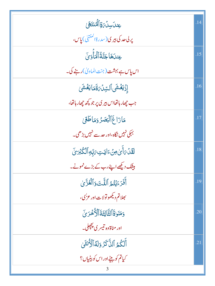| <i>ؚ</i> ۼڹڶڛڶۘ <i>؆ۊٚ</i> ٲڵٙ <i>ڰٛ</i> ڹؾؘۿؘ             | .14 |
|------------------------------------------------------------|-----|
| پر <b>لی عد کی بیری (</b> سدرة المنته <mark>ی) پاس،</mark> |     |
| عِن <i>دَهَا جَنَّةُ أَلَّمَأ</i> َوَى                     | .15 |
| اس پاس ہے بہشت (جنت الماویٰ) رہنے کی۔                      |     |
| إِذَيَغَشَى ٱلسِّلَ5َ قَمَايَغَشَى                         | .16 |
| جب چھار ہاتھااس بیر کی پر جو کچھ چھار ہاتھا،               |     |
| مَارَاغَ ٱلْبَصَرُ وَمَاطَعَى                              | .17 |
| بہکی نہیں نگاہ،اور حد سے نہیں بڑھی۔                        |     |
| ڶقَدْمَأَيْ مِنْ ءَايَتِ مَبِّهِ ٱلْكُبْرَيِّ              | .18 |
| بیٹک دیکھے اپنے رب کے بڑے نمونے۔                           |     |
| أَفَرَءَيۡتُمُ ٱللَّتَ وَٱلۡعُزَّىٰ                        | .19 |
| بھلاتم دیکھوتولات اور عز <sup>ب</sup> ی،                   |     |
| دَمَنَو <sub>ٰ</sub> لَأَأَلَّٰئَالِثَةَ ٱلْأُخْرَىٰ       | .20 |
| اور مناة وه تيسر ي پچچلي_                                  |     |
| أَلَكُمُ ٱلذَّكَرُ وَلَهُ ٱلۡأُنثَىٰ                       | .21 |
| کیا <b>تم کویٹےاوراس کو بیٹیاں؟</b>                        |     |
|                                                            |     |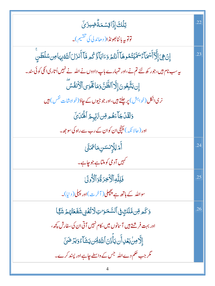| ڗ <b>ڶ</b> ڶ <sup>ۣ</sup> ٙڰٳۣۮٙۜٳۊؚۺڡؘۃ۠ٞڞٟؾۯؽؘؖ                                                                                | .22 |
|----------------------------------------------------------------------------------------------------------------------------------|-----|
| توتوپه بانٹابھونڈا( دھاندلی کی تقسیم)۔                                                                                           |     |
| ٳڹٛ؋ۣۑؘٳٳ۠ۜۮٙٲؙٮ <sup>ۣؠ</sup> ٙۄؘػٳٳڷٲۺۿؘڷؿڟڡۿٳٚٲٛٮۛؿ۠ۄؘۏٵؗڹٲۏ۠ػ۠ۄۿٳٚٲؘٛڹۯؘڶٲڷڦڹؚۑؘٵڡؚڹ <sup>۩</sup> ڵڟڹۨ                       | .23 |
| ىيەسب نام ہيں،جور <sub>ك</sub> ھ لئے تم نے،اور تمہ <sub>ا</sub> رے باپ دادوں نے اللہ نے نہيں اُتارى ا <sup>نك</sup> ى كوئى سند _ |     |
| ٳؚڹؾۜڹؖۼۏڹؘٳؚٳؖۮٱڵڟۜٙڹٞۏڡؘٲۿؘۜۏؠٲڷٲۮؘٮ۬ڡؙٛڛۜ                                                                                     |     |
| نری اٹکل(خواہش) پر چلتے ہیں،اور جو جیوں کے جاؤ(خواہشات <sup>نفس) ہ</sup> یں                                                      |     |
| وَلَقَلۡ جَآءَهُم مِّن تَّاتِّبِهُ ۚ ٱلۡفُنۡاَىٰٓ                                                                                |     |
| اور ( حالا نکہ ) پہنچی ان کوان کے رب سے راہ کی سو جھ ۔                                                                           |     |
| <i>أَمْرْ لِ</i> أَرْنسَسِمَا تَمَنَّىٰ                                                                                          | .24 |
| ۔<br>سہیں آدمی کوملتاہے جو چاہے۔                                                                                                 |     |
| فَلِلَّهِ ٱلْأَخِرَةُ وَٱلْأُولَىٰ                                                                                               | .25 |
| سواللہ کے <b>ہاتھ ہے پچپل(آ</b> خرت)اور پہلی(دنیا)۔                                                                              |     |
| <u>و</u> َكَمِ مِّن مَّلَكٍ فِى ٱلسَّمَرَاتِ لَاتُّغۡنِى شَفَعَتُّهُ مِّ شَيَّا                                                  | .26 |
| اور بہت فر شتے ہیں آسانوں میں، کام نہیں آتی ان کی سفارش پچھ،                                                                     |     |
| إِلَّا مِنْ بَعْدِ أَن يَأْذَنَ ٱللَّهُ لَهَن يَشَاءُ وَيَزَضَىٰٓ                                                                |     |
| گر جب حکم دے اللہ جس کے واسطے جاہے اور پسند کرے۔                                                                                 |     |
|                                                                                                                                  |     |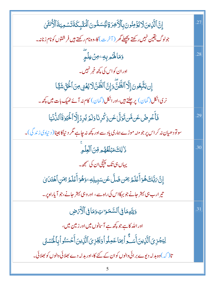| ٳۣڹؖٞٱڶۜۯؚؠڹؘڷٲێۣۯٙ۠ڡؚڹؙۅڹؘۑؚٱڷٲڿۯۊڵێۢۺڡۨ۠ۅڹؘٱڶٙػڸٕٙػؘۊؘؾۺڡؚؾۊؘٱڷۯ۠ٮ۬ۼۧؽ                         | .27 |
|--------------------------------------------------------------------------------------------------|-----|
| جولوگ يقين نہيں رکھتے پچھلے گھر ( آخر ت) کا،وہ نام رکھتے ہيں فر شتوں کو نام زنانہ۔               |     |
| وَمَالَهُمْ بِهِ ِ مِنْ عِلْمٍ                                                                   | .28 |
| اور ان کو اس کی کچھ خبر نہیں۔                                                                    |     |
| ٳؚڹؾۜڹؚۼونَ إِلَّا ٱلظَّنَّ وَإِنَّ ٱلظَّنَّ لَا يُغۡنِى مِنَ ٱلۡخَقِّ شَيَّا                    |     |
| نری اٹکل(گمان) پر چلتے ہیں،اور اٹکل(گمان) کام نہ آئے ٹھیک <mark>بات می</mark> ں کچھ۔             |     |
| فَأَعۡرِضۡ عَن مَّن تَوَلَّىٰ عَن ذِكۡرِنَا وَلَمۡ يُرِدۡ إِلَّا ٱلٰۡٓيَٰوٰۚ قَالَانَّ نُيَا     | .29 |
| سونودھیان نہ کر اس پر جو منہ موڑے ہماری یاد سے اور کچھ نہ چاہے مگر دیناکا جینا( دیناوی زندگی)۔   |     |
| دَ ٰ لِكَ مَبۡلَغُهُم مِّنَ ٱلۡعِلۡمِ                                                            | .30 |
| یہاں ہی تک پہنچی ان کی سمجھ۔                                                                     |     |
| ٳۣڹؖٞ؆ڹَۜڶڰؘۿؙۏٲۨڠؘڶۿٴؚۥٙۿ؈ڟڷۜٸؘڹۑؠڸڮٷۿؙۏٲؘۛڠؘڶۿٴؚۥٙۿڹ۩ڷۿؾؘڹ؇                                    |     |
| تیر ارب ہی بہتر جانے جو بہکااس کی راہ سے ، اور وہی بہتر جانے، جو آیاراہ پر۔                      |     |
| وَلِلَّهِمَا فِى ٱلسَّمَوَاتِ وَمَا فِى ٱلْأَمْ ضِ                                               | .31 |
| اور اللہ کا ہے جو <sup>کچ</sup> ھ ہے آس <mark>انوں میں اور زمین می</mark> ں،                     |     |
|                                                                                                  |     |
| لِيَجۡزِىَ ٱلَّٰٓزِينَ أَسَـٰٓوَاۡ بِمَاعَمِلُواۡ وَيَجۡزِىَ ٱلَّٰٓزِينَ أَحۡسَنُواۡبِٱلۡحُسۡنَى |     |
| تا( کہ) وہ بدلہ دیوے برائی دالوں کوان کے لئے کا،اور بدلہ دے بھلائی دالوں کو بھلائی۔              |     |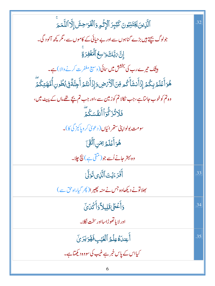| ٱلَّذِينَ يَجۡتَذِبُونَ كَبَٓبِرَ ٱلۡإِثۡمِ وَٱلۡفَوَاحِشَ إِلَّا ٱللَّمَـمَـ           | .32 |
|-----------------------------------------------------------------------------------------|-----|
| جولوگ بیچتے ہیں بڑے گناہوں سے اور بے حیائی کے کاموں سے ، مگر پچھ آلو د گی۔              |     |
| ٳۣڹ <mark>ٞ</mark> ؆ڹَۜڶ <sub>ؖ</sub> ڰؘۅ۬ <i>ؘ</i> ٳڛ <b>حُ</b> ٲڷؙ <i>ڬؘ</i> ۼٛۯۊٚۨ   |     |
| <b>بیٹک تیرے رب کی بخشش میں سائی (</b> وسیع مغفرت کرنے والا )ہے۔                        |     |
| ۿؙۏؘٲٛؗۼؘڶۿۥڹؚػۢ۠ۮؘٳؚۮؘٲۜٮ۬ۺؘٲۜػ۠ڡ؋ۜڹٲڷۘٲٛۯؘۻ؋ٳؚۮؘٲۜٮ۬ؾ۠ۏٲ۠ڿڹۜٙڐۘۨڣۣؠؙڟؗۅڹۣٲ۠ڡۜۿؾؚػۢڡٙؖ |     |
| وہ تم کوخوب جانتاہے، جب نکالا تم کو زمین سے،اور جب تم بچے تھے ماں کے پیٹ میں،           |     |
| ڣؘڸ <sup>ٙ</sup> ۯؾ۠ڒؙٙػؗۨۏٲٲؘڹڣ۠ۺػؙڋ                                                   |     |
| سومت بولوا پنی ست <sub>قر ا</sub> ئیاں ( دعویٰ کرویاکیز گی کا)۔                         |     |
| هُوَأَعۡلَمُ ۚ بِمَنِ ٱتَّقَىٰٓ                                                         |     |
| وہ بہتر جانے اُسے جو ( منقی ہے ) پچ چلا۔                                                |     |
| أَفَرَءَيۡتَ ٱلَّذِى تَوَلَّىٰ                                                          | .33 |
| بھلاتونے دیکھاوہ جس نے منہ پھیر ا(پھر گیاراہ حق سے )                                    |     |
| <u>وَأَعْطَىٰقَلِيلاً وَأَكْ</u> دَىَ                                                   | .34 |
| اور لا با تھوڑاسااور سخت نکلا۔                                                          |     |
| أَعِندَهُ عِلْمُ ٱلْغَيْبِ فَهُوَ يَرَىٰ                                                | .35 |
| کیااس کے پاس خبر ہے غیب کی سووہ دیکھتاہے۔                                               |     |
| 6                                                                                       |     |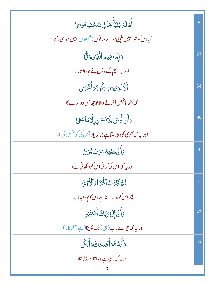| أَمَّ لَمَّ يُنَبَّأَ بِمَا فِى صُحُفِ مُوسَىٰ                        | .36 |
|-----------------------------------------------------------------------|-----|
| کیااس کوخبر نہیں پہنچی جو ہے ور قوں (صحیفوں) میں موسیٰ کے             |     |
| وَإِبْرَاهِيمَ ٱلَّذِى وَقَّىٰٓ                                       | .37 |
| اور ابراہیم کے، جن نے یورااتارا،                                      |     |
| أَلَّاتَزِهُ وَازِىَةٌوِزْىَأُجْرَىٰ                                  | .38 |
| کہ اُٹھا تانہیں اُٹھانے والا بو جھ <sup>کس</sup> ی دوسرے کا،          |     |
| وَأَن لَّيۡسَ لِلۡإِنسَسِ إِلَّا مَاسَعَىٰ                            | .39 |
| اور بیہ کہ آدمی کووہی ملتاہے جو کمایا(جس کی کو شش کی )،               |     |
| <u>وَأَنَّ سَعْيَهُ سَوْفَ يُرَىٰ</u>                                 | .40 |
| اور بہ کہ اس کی کمائی اس کو د کھانی ہے،                               |     |
| ثُمَّةً يُجۡزَىٰهُٱلۡجَزَآءَٱلۡأَوۡوَۚۤ)                              | .41 |
| پھراس کوبدلہ دیناہےاس کا پورابدلہ۔                                    |     |
| وَأَنَّ إِلَىٰ مَبِّكَ ٱلْمُنتَهَىٰ                                   | .42 |
| اور یہ کہ تیرے رب( <sup>ہی</sup> ) تک پہنچنا( <sub>ہے</sub> آخر کار)، |     |
| <u>وَ</u> أَنَّهُ هُوَأَضَّحَكَ وَأَبَكَىٰ                            | .43 |
| اور بہ کہ وہی ہے ہنسا تااور رُلا تا،                                  |     |
|                                                                       |     |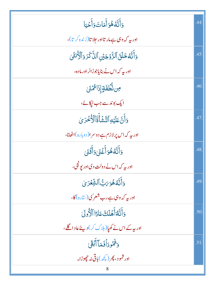|                                                             | 44  |
|-------------------------------------------------------------|-----|
| وَأَنَّهُ هُوَأَمَاتَ وَأَحْيَا                             |     |
| اور بیہ کہ وہی ہےمار تااور جلا تا(زندہ کر تا)،              |     |
| وَأَنَّهُ خَلَقَ ٱلزَّوۡجَيۡنِ ٱلذَّكَرَ وَٱلۡكَٰٓنَثَىٰ    | .45 |
| اور بیہ کہ اس نے بنایاجوڑانر اور مادہ،                      |     |
| ڝ <sup>ڹ</sup> ۠ڂڡؘۊٳؚڒؘ <sup>ٳ</sup> ؞ؙٛ <i>ۮ</i> ؽؘ       | .46 |
| ایک بوندسے جب ٹیکائے،                                       |     |
| <u>وَأَنَّ عَلَيۡهِ</u> ٱلتَّشۡأَقَاۤٱلۡٱخۡدَىٰ             | .47 |
| اور بی <sub>ہ</sub> کہ اس پر لازم ہے دوسر ا( دوبارہ)اٹھانا، |     |
| <u>وَ</u> أَنَّهُ هُوَأَغْفَىٰ وَأَقَٰنَىٰ                  | .48 |
| اور پہ کہ اس نے دولت دی اور یونجی،                          |     |
| وَأَنَّهُ هُوَ بَتْ ٱلشَّعْرَىٰ                             | .49 |
| اور بیر که وہی ہے رب شعر'ی(سارہ)کا،                         |     |
| وَأَنَّهُ أَهۡلَكَ عَادًا ٱلْأُولَىٰ                        | .50 |
| اور پہ کے اس نے کھیا( ہلاک کر) دیئے عاد اگلے،               |     |
| وَثَمُّودَأَفَمَآ أَبۡقَىٰۤا                                | .51 |
| اور شمود، پھر ( <u>پچھ</u> )ماقی نہ چھوڑا۔                  |     |
| 8                                                           |     |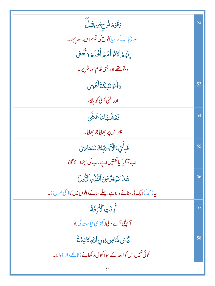| <u>وَقَوْ</u> مَ <sup>ل</sup> ُوحِرِّنْ قَبَلُ                    | .52 |
|-------------------------------------------------------------------|-----|
| اور (ہلاک کر دیا)نوح کی قوم اس سے پہلے۔                           |     |
| إِنَّهُمۡ كَانُواۡهُمۡۚ أَظۡلَمَ وَأَطَٰٓئَىٰ                     |     |
| وہ تو تھے اور بھی ظالم اور شریر۔                                  |     |
| <u>وَ</u> ٱلۡٷۡتَفِكَةَٲٛۿۡوَىٰ                                   | .53 |
| اور الٹی بستی کو پڑکا،                                            |     |
| <b>فَغَشَّلهَامَاغَشَّىٰ</b>                                      | .54 |
| <i>پھر اس پر چھ</i> ایاجو چھایا۔                                  |     |
| فَبِأَيِّ ءَالَّ <sub>خِ</sub> ىَتِّكَ تَتَمَا <i>َىَ</i>         | .55 |
| اب تو کیا کیانعمتیں اپنے رب کی حجٹلائے گا؟                        |     |
| هَذَا نَزِيرٌ مِّنَ ٱلتَّذُّيِ ٱلْأَوْلَىٰ                        | .56 |
| بیر (محمہ)ایک ڈرسنانے والا ہے،پہلے سنانے والوں میں کا ( کی طرح )۔ |     |
| أَزِفَتِ ٱلْأَزِفَةُ                                              | .57 |
| آئپنچی آنے والی(گھڑی قیامت کی)،                                   |     |
| لِّيۡسَ لَهَاٰ مِن دُونِ ٱللَّٰهِ كَاشِفَةٌ                       | .58 |
| کوئی نہیں اس کواللہ کے سواکھول د کھانے (ٹالنے والا )والا۔         |     |
| 9                                                                 |     |